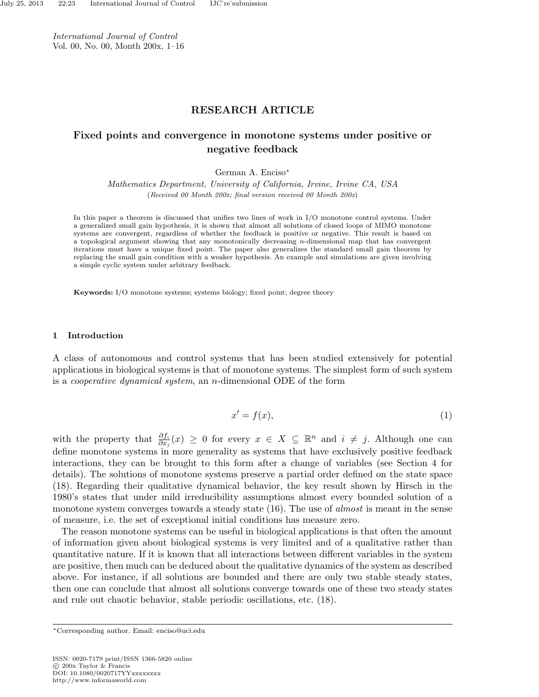International Journal of Control Vol. 00, No. 00, Month 200x, 1–16

# RESEARCH ARTICLE

# Fixed points and convergence in monotone systems under positive or negative feedback

German A. Enciso<sup>∗</sup>

Mathematics Department, University of California, Irvine, Irvine CA, USA (Received 00 Month 200x; final version received 00 Month 200x)

In this paper a theorem is discussed that unifies two lines of work in I/O monotone control systems. Under a generalized small gain hypothesis, it is shown that almost all solutions of closed loops of MIMO monotone systems are convergent, regardless of whether the feedback is positive or negative. This result is based on a topological argument showing that any monotonically decreasing n-dimensional map that has convergent iterations must have a unique fixed point. The paper also generalizes the standard small gain theorem by replacing the small gain condition with a weaker hypothesis. An example and simulations are given involving a simple cyclic system under arbitrary feedback.

Keywords: I/O monotone systems; systems biology; fixed point; degree theory

### 1 Introduction

A class of autonomous and control systems that has been studied extensively for potential applications in biological systems is that of monotone systems. The simplest form of such system is a cooperative dynamical system, an n-dimensional ODE of the form

$$
x' = f(x),\tag{1}
$$

with the property that  $\frac{\partial f_i}{\partial x_j}(x) \geq 0$  for every  $x \in X \subseteq \mathbb{R}^n$  and  $i \neq j$ . Although one can define monotone systems in more generality as systems that have exclusively positive feedback interactions, they can be brought to this form after a change of variables (see Section 4 for details). The solutions of monotone systems preserve a partial order defined on the state space (18). Regarding their qualitative dynamical behavior, the key result shown by Hirsch in the 1980's states that under mild irreducibility assumptions almost every bounded solution of a monotone system converges towards a steady state (16). The use of *almost* is meant in the sense of measure, i.e. the set of exceptional initial conditions has measure zero.

The reason monotone systems can be useful in biological applications is that often the amount of information given about biological systems is very limited and of a qualitative rather than quantitative nature. If it is known that all interactions between different variables in the system are positive, then much can be deduced about the qualitative dynamics of the system as described above. For instance, if all solutions are bounded and there are only two stable steady states, then one can conclude that almost all solutions converge towards one of these two steady states and rule out chaotic behavior, stable periodic oscillations, etc. (18).

ISSN: 0020-7179 print/ISSN 1366-5820 online c 200x Taylor & Francis DOI: 10.1080/0020717YYxxxxxxxx http://www.informaworld.com

<sup>∗</sup>Corresponding author. Email: enciso@uci.edu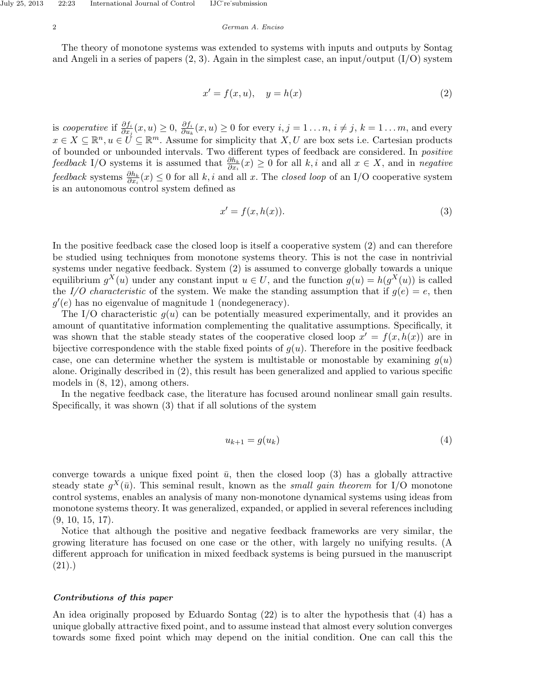The theory of monotone systems was extended to systems with inputs and outputs by Sontag and Angeli in a series of papers  $(2, 3)$ . Again in the simplest case, an input/output  $(I/O)$  system

$$
x' = f(x, u), \quad y = h(x) \tag{2}
$$

is cooperative if  $\frac{\partial f_i}{\partial x_j}(x, u) \geq 0$ ,  $\frac{\partial f_i}{\partial u_k}(x, u) \geq 0$  for every  $i, j = 1 \dots n$ ,  $i \neq j$ ,  $k = 1 \dots m$ , and every  $x \in X \subseteq \mathbb{R}^n, u \in U \subseteq \mathbb{R}^m$ . Assume for simplicity that  $X, U$  are box sets i.e. Cartesian products of bounded or unbounded intervals. Two different types of feedback are considered. In positive feedback I/O systems it is assumed that  $\frac{\partial h_k}{\partial x_i}(x) \geq 0$  for all  $k, i$  and all  $x \in X$ , and in negative feedback systems  $\frac{\partial h_k}{\partial x_i}(x) \leq 0$  for all k, i and all x. The closed loop of an I/O cooperative system is an autonomous control system defined as

$$
x' = f(x, h(x)).
$$
\n(3)

In the positive feedback case the closed loop is itself a cooperative system (2) and can therefore be studied using techniques from monotone systems theory. This is not the case in nontrivial systems under negative feedback. System (2) is assumed to converge globally towards a unique equilibrium  $g^X(u)$  under any constant input  $u \in U$ , and the function  $g(u) = h(g^X(u))$  is called the I/O characteristic of the system. We make the standing assumption that if  $q(e) = e$ , then  $g'(e)$  has no eigenvalue of magnitude 1 (nondegeneracy).

The I/O characteristic  $g(u)$  can be potentially measured experimentally, and it provides an amount of quantitative information complementing the qualitative assumptions. Specifically, it was shown that the stable steady states of the cooperative closed loop  $x' = f(x, h(x))$  are in bijective correspondence with the stable fixed points of  $g(u)$ . Therefore in the positive feedback case, one can determine whether the system is multistable or monostable by examining  $q(u)$ alone. Originally described in (2), this result has been generalized and applied to various specific models in (8, 12), among others.

In the negative feedback case, the literature has focused around nonlinear small gain results. Specifically, it was shown (3) that if all solutions of the system

$$
u_{k+1} = g(u_k) \tag{4}
$$

converge towards a unique fixed point  $\bar{u}$ , then the closed loop (3) has a globally attractive steady state  $g^X(\bar{u})$ . This seminal result, known as the *small gain theorem* for I/O monotone control systems, enables an analysis of many non-monotone dynamical systems using ideas from monotone systems theory. It was generalized, expanded, or applied in several references including  $(9, 10, 15, 17)$ .

Notice that although the positive and negative feedback frameworks are very similar, the growing literature has focused on one case or the other, with largely no unifying results. (A different approach for unification in mixed feedback systems is being pursued in the manuscript  $(21).$ 

## Contributions of this paper

An idea originally proposed by Eduardo Sontag (22) is to alter the hypothesis that (4) has a unique globally attractive fixed point, and to assume instead that almost every solution converges towards some fixed point which may depend on the initial condition. One can call this the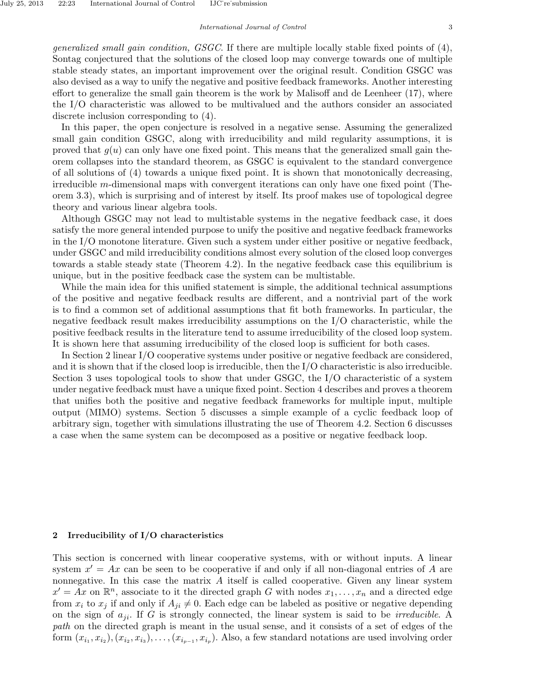generalized small gain condition, GSGC. If there are multiple locally stable fixed points of (4), Sontag conjectured that the solutions of the closed loop may converge towards one of multiple stable steady states, an important improvement over the original result. Condition GSGC was also devised as a way to unify the negative and positive feedback frameworks. Another interesting effort to generalize the small gain theorem is the work by Malisoff and de Leenheer (17), where the I/O characteristic was allowed to be multivalued and the authors consider an associated discrete inclusion corresponding to (4).

In this paper, the open conjecture is resolved in a negative sense. Assuming the generalized small gain condition GSGC, along with irreducibility and mild regularity assumptions, it is proved that  $g(u)$  can only have one fixed point. This means that the generalized small gain theorem collapses into the standard theorem, as GSGC is equivalent to the standard convergence of all solutions of (4) towards a unique fixed point. It is shown that monotonically decreasing, irreducible m-dimensional maps with convergent iterations can only have one fixed point (Theorem 3.3), which is surprising and of interest by itself. Its proof makes use of topological degree theory and various linear algebra tools.

Although GSGC may not lead to multistable systems in the negative feedback case, it does satisfy the more general intended purpose to unify the positive and negative feedback frameworks in the I/O monotone literature. Given such a system under either positive or negative feedback, under GSGC and mild irreducibility conditions almost every solution of the closed loop converges towards a stable steady state (Theorem 4.2). In the negative feedback case this equilibrium is unique, but in the positive feedback case the system can be multistable.

While the main idea for this unified statement is simple, the additional technical assumptions of the positive and negative feedback results are different, and a nontrivial part of the work is to find a common set of additional assumptions that fit both frameworks. In particular, the negative feedback result makes irreducibility assumptions on the I/O characteristic, while the positive feedback results in the literature tend to assume irreducibility of the closed loop system. It is shown here that assuming irreducibility of the closed loop is sufficient for both cases.

In Section 2 linear I/O cooperative systems under positive or negative feedback are considered, and it is shown that if the closed loop is irreducible, then the I/O characteristic is also irreducible. Section 3 uses topological tools to show that under GSGC, the I/O characteristic of a system under negative feedback must have a unique fixed point. Section 4 describes and proves a theorem that unifies both the positive and negative feedback frameworks for multiple input, multiple output (MIMO) systems. Section 5 discusses a simple example of a cyclic feedback loop of arbitrary sign, together with simulations illustrating the use of Theorem 4.2. Section 6 discusses a case when the same system can be decomposed as a positive or negative feedback loop.

## 2 Irreducibility of I/O characteristics

This section is concerned with linear cooperative systems, with or without inputs. A linear system  $x' = Ax$  can be seen to be cooperative if and only if all non-diagonal entries of A are nonnegative. In this case the matrix  $A$  itself is called cooperative. Given any linear system  $x' = Ax$  on  $\mathbb{R}^n$ , associate to it the directed graph G with nodes  $x_1, \ldots, x_n$  and a directed edge from  $x_i$  to  $x_j$  if and only if  $A_{ji} \neq 0$ . Each edge can be labeled as positive or negative depending on the sign of  $a_{ii}$ . If G is strongly connected, the linear system is said to be *irreducible*. A path on the directed graph is meant in the usual sense, and it consists of a set of edges of the form  $(x_{i_1}, x_{i_2}), (x_{i_2}, x_{i_3}), \ldots, (x_{i_{p-1}}, x_{i_p})$ . Also, a few standard notations are used involving order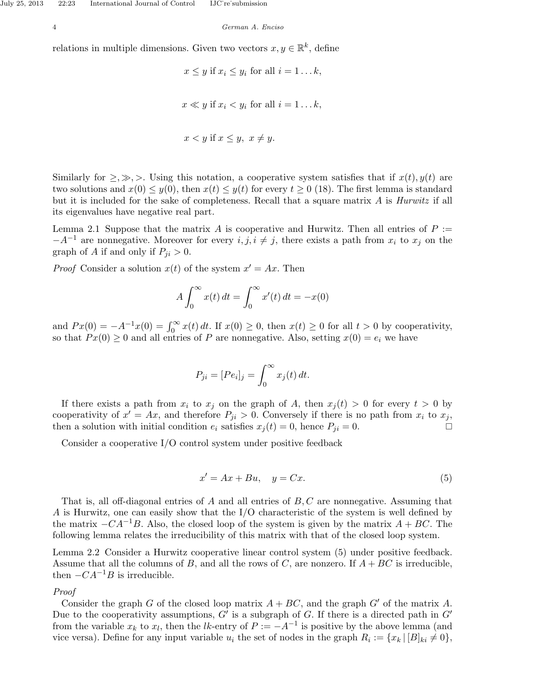relations in multiple dimensions. Given two vectors  $x, y \in \mathbb{R}^k$ , define

$$
x \le y
$$
 if  $x_i \le y_i$  for all  $i = 1...k$ ,  
 $x \ll y$  if  $x_i < y_i$  for all  $i = 1...k$ ,  
 $x < y$  if  $x \le y$ ,  $x \ne y$ .

Similarly for  $\geq, \gg, \gg$ . Using this notation, a cooperative system satisfies that if  $x(t)$ ,  $y(t)$  are two solutions and  $x(0) \leq y(0)$ , then  $x(t) \leq y(t)$  for every  $t \geq 0$  (18). The first lemma is standard but it is included for the sake of completeness. Recall that a square matrix  $A$  is  $Hurwitz$  if all its eigenvalues have negative real part.

Lemma 2.1 Suppose that the matrix A is cooperative and Hurwitz. Then all entries of  $P :=$  $-A^{-1}$  are nonnegative. Moreover for every  $i, j, i \neq j$ , there exists a path from  $x_i$  to  $x_j$  on the graph of A if and only if  $P_{ii} > 0$ .

*Proof* Consider a solution  $x(t)$  of the system  $x' = Ax$ . Then

$$
A \int_0^\infty x(t) dt = \int_0^\infty x'(t) dt = -x(0)
$$

and  $Px(0) = -A^{-1}x(0) = \int_0^\infty x(t) dt$ . If  $x(0) \ge 0$ , then  $x(t) \ge 0$  for all  $t > 0$  by cooperativity, so that  $Px(0) \geq 0$  and all entries of P are nonnegative. Also, setting  $x(0) = e_i$  we have

$$
P_{ji} = [Pe_i]_j = \int_0^\infty x_j(t) \, dt.
$$

If there exists a path from  $x_i$  to  $x_j$  on the graph of A, then  $x_i(t) > 0$  for every  $t > 0$  by cooperativity of  $x' = Ax$ , and therefore  $P_{ji} > 0$ . Conversely if there is no path from  $x_i$  to  $x_j$ , then a solution with initial condition  $e_i$  satisfies  $x_j(t) = 0$ , hence  $P_{ji} = 0$ .

Consider a cooperative I/O control system under positive feedback

$$
x' = Ax + Bu, \quad y = Cx.
$$
 (5)

That is, all off-diagonal entries of  $A$  and all entries of  $B, C$  are nonnegative. Assuming that A is Hurwitz, one can easily show that the I/O characteristic of the system is well defined by the matrix  $-CA^{-1}B$ . Also, the closed loop of the system is given by the matrix  $A + BC$ . The following lemma relates the irreducibility of this matrix with that of the closed loop system.

Lemma 2.2 Consider a Hurwitz cooperative linear control system (5) under positive feedback. Assume that all the columns of B, and all the rows of C, are nonzero. If  $A + BC$  is irreducible, then  $-CA^{-1}B$  is irreducible.

# Proof

Consider the graph G of the closed loop matrix  $A + BC$ , and the graph G' of the matrix A. Due to the cooperativity assumptions,  $G'$  is a subgraph of G. If there is a directed path in  $G'$ from the variable  $x_k$  to  $x_l$ , then the lk-entry of  $P := -A^{-1}$  is positive by the above lemma (and vice versa). Define for any input variable  $u_i$  the set of nodes in the graph  $R_i := \{x_k \mid [B]_{ki} \neq 0\},\$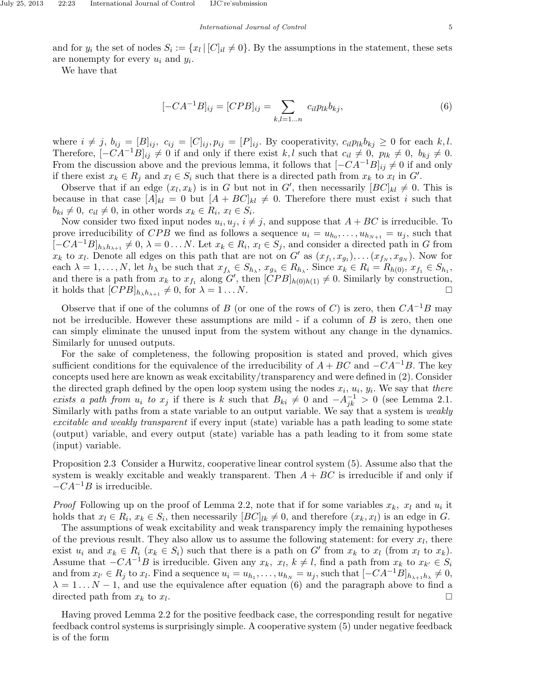and for  $y_i$  the set of nodes  $S_i := \{x_l | [C]_{il} \neq 0\}$ . By the assumptions in the statement, these sets are nonempty for every  $u_i$  and  $y_i$ .

We have that

$$
[-CA^{-1}B]_{ij} = [CPB]_{ij} = \sum_{k,l=1...n} c_{il} p_{lk} b_{kj}, \qquad (6)
$$

where  $i \neq j$ ,  $b_{ij} = [B]_{ij}$ ,  $c_{ij} = [C]_{ij}$ ,  $p_{ij} = [P]_{ij}$ . By cooperativity,  $c_{il}p_{lk}b_{kj} \geq 0$  for each k, l. Therefore,  $[-CA^{-1}B]_{ij} \neq 0$  if and only if there exist k, l such that  $c_{il} \neq 0$ ,  $p_{lk} \neq 0$ ,  $b_{kj} \neq 0$ . From the discussion above and the previous lemma, it follows that  $[-CA^{-1}B]_{ij} \neq 0$  if and only if there exist  $x_k \in R_j$  and  $x_l \in S_i$  such that there is a directed path from  $x_k$  to  $x_l$  in  $G'$ .

Observe that if an edge  $(x_l, x_k)$  is in G but not in G', then necessarily  $[BC]_{kl} \neq 0$ . This is because in that case  $[A]_{kl} = 0$  but  $[A + BC]_{kl} \neq 0$ . Therefore there must exist i such that  $b_{ki} \neq 0, c_{il} \neq 0$ , in other words  $x_k \in R_i, x_l \in S_i$ .

Now consider two fixed input nodes  $u_i, u_j, i \neq j$ , and suppose that  $A + BC$  is irreducible. To prove irreducibility of CPB we find as follows a sequence  $u_i = u_{h_0}, \ldots, u_{h_{N+1}} = u_j$ , such that  $[-CA^{-1}B]_{h_{\lambda}h_{\lambda+1}} \neq 0, \lambda = 0 \ldots N$ . Let  $x_k \in R_i$ ,  $x_l \in S_j$ , and consider a directed path in G from  $x_k$  to  $x_l$ . Denote all edges on this path that are not on G' as  $(x_{f_1}, x_{g_1}), \ldots (x_{f_N}, x_{g_N})$ . Now for each  $\lambda = 1, \ldots, N$ , let  $h_{\lambda}$  be such that  $x_{f_{\lambda}} \in S_{h_{\lambda}}, x_{g_{\lambda}} \in R_{h_{\lambda}}$ . Since  $x_k \in R_i = R_{h(0)}, x_{f_1} \in S_{h_1}$ , and there is a path from  $x_k$  to  $x_{f_1}$  along G', then  $\left[\check{CPB}\right]_{h(0)h(1)} \neq 0$ . Similarly by construction, it holds that  $[CPB]_{h_{\lambda}h_{\lambda+1}} \neq 0$ , for  $\lambda = 1 \dots N$ .

Observe that if one of the columns of B (or one of the rows of C) is zero, then  $CA^{-1}B$  may not be irreducible. However these assumptions are mild - if a column of  $B$  is zero, then one can simply eliminate the unused input from the system without any change in the dynamics. Similarly for unused outputs.

For the sake of completeness, the following proposition is stated and proved, which gives sufficient conditions for the equivalence of the irreducibility of  $A + BC$  and  $-CA^{-1}B$ . The key concepts used here are known as weak excitability/transparency and were defined in (2). Consider the directed graph defined by the open loop system using the nodes  $x_i$ ,  $u_i$ ,  $y_i$ . We say that there exists a path from  $u_i$  to  $x_j$  if there is k such that  $B_{ki} \neq 0$  and  $-A_{jk}^{-1} > 0$  (see Lemma 2.1. Similarly with paths from a state variable to an output variable. We say that a system is *weakly* excitable and weakly transparent if every input (state) variable has a path leading to some state (output) variable, and every output (state) variable has a path leading to it from some state (input) variable.

Proposition 2.3 Consider a Hurwitz, cooperative linear control system (5). Assume also that the system is weakly excitable and weakly transparent. Then  $A + BC$  is irreducible if and only if  $-CA^{-1}B$  is irreducible.

*Proof* Following up on the proof of Lemma 2.2, note that if for some variables  $x_k$ ,  $x_l$  and  $u_i$  it holds that  $x_l \in R_i$ ,  $x_k \in S_i$ , then necessarily  $[BC]_{lk} \neq 0$ , and therefore  $(x_k, x_l)$  is an edge in G.

The assumptions of weak excitability and weak transparency imply the remaining hypotheses of the previous result. They also allow us to assume the following statement: for every  $x_l$ , there exist  $u_i$  and  $x_k \in R_i$   $(x_k \in S_i)$  such that there is a path on G' from  $x_k$  to  $x_l$  (from  $x_l$  to  $x_k$ ). Assume that  $-CA^{-1}B$  is irreducible. Given any  $x_k$ ,  $x_l$ ,  $k \neq l$ , find a path from  $x_k$  to  $x_{k'} \in S_i$ and from  $x_{l'} \in R_j$  to  $x_l$ . Find a sequence  $u_i = u_{h_1}, \ldots, u_{h_N} = u_j$ , such that  $[-CA^{-1}B]_{h_{\lambda+1}h_{\lambda}} \neq 0$ ,  $\lambda = 1...N - 1$ , and use the equivalence after equation (6) and the paragraph above to find a directed path from  $x_k$  to  $x_l$ . .

Having proved Lemma 2.2 for the positive feedback case, the corresponding result for negative feedback control systems is surprisingly simple. A cooperative system (5) under negative feedback is of the form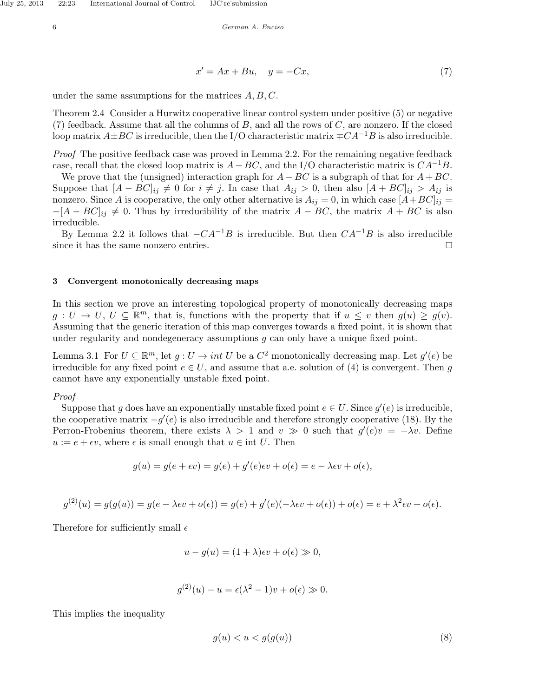$$
x' = Ax + Bu, \quad y = -Cx,\tag{7}
$$

under the same assumptions for the matrices  $A, B, C$ .

Theorem 2.4 Consider a Hurwitz cooperative linear control system under positive (5) or negative  $(7)$  feedback. Assume that all the columns of B, and all the rows of C, are nonzero. If the closed loop matrix  $A\pm BC$  is irreducible, then the I/O characteristic matrix  $\mp CA^{-1}B$  is also irreducible.

Proof The positive feedback case was proved in Lemma 2.2. For the remaining negative feedback case, recall that the closed loop matrix is  $A - BC$ , and the I/O characteristic matrix is  $CA^{-1}B$ .

We prove that the (unsigned) interaction graph for  $A - BC$  is a subgraph of that for  $A + BC$ . Suppose that  $[A - BC]_{ij} \neq 0$  for  $i \neq j$ . In case that  $A_{ij} > 0$ , then also  $[A + BC]_{ij} > A_{ij}$  is nonzero. Since A is cooperative, the only other alternative is  $A_{ij} = 0$ , in which case  $[A + BC]_{ij} =$  $-[A - BC]_{ij} \neq 0$ . Thus by irreducibility of the matrix  $A - BC$ , the matrix  $A + BC$  is also irreducible.

By Lemma 2.2 it follows that  $-CA^{-1}B$  is irreducible. But then  $CA^{-1}B$  is also irreducible since it has the same nonzero entries.

## 3 Convergent monotonically decreasing maps

In this section we prove an interesting topological property of monotonically decreasing maps  $g: U \to U, U \subseteq \mathbb{R}^m$ , that is, functions with the property that if  $u \leq v$  then  $g(u) \geq g(v)$ . Assuming that the generic iteration of this map converges towards a fixed point, it is shown that under regularity and nondegeneracy assumptions  $g$  can only have a unique fixed point.

Lemma 3.1 For  $U \subseteq \mathbb{R}^m$ , let  $g: U \to int U$  be a  $C^2$  monotonically decreasing map. Let  $g'(e)$  be irreducible for any fixed point  $e \in U$ , and assume that a.e. solution of (4) is convergent. Then g cannot have any exponentially unstable fixed point.

## Proof

Suppose that g does have an exponentially unstable fixed point  $e \in U$ . Since  $g'(e)$  is irreducible, the cooperative matrix  $-g'(e)$  is also irreducible and therefore strongly cooperative (18). By the Perron-Frobenius theorem, there exists  $\lambda > 1$  and  $v \gg 0$  such that  $g'(e)v = -\lambda v$ . Define  $u := e + \epsilon v$ , where  $\epsilon$  is small enough that  $u \in \text{int } U$ . Then

$$
g(u) = g(e + \epsilon v) = g(e) + g'(e)\epsilon v + o(\epsilon) = e - \lambda \epsilon v + o(\epsilon),
$$

$$
g^{(2)}(u) = g(g(u)) = g(e - \lambda \epsilon v + o(\epsilon)) = g(e) + g'(e)(-\lambda \epsilon v + o(\epsilon)) + o(\epsilon) = e + \lambda^2 \epsilon v + o(\epsilon).
$$

Therefore for sufficiently small  $\epsilon$ 

$$
u - g(u) = (1 + \lambda)\epsilon v + o(\epsilon) \gg 0,
$$

$$
g^{(2)}(u) - u = \epsilon(\lambda^2 - 1)v + o(\epsilon) \gg 0.
$$

This implies the inequality

$$
g(u) < u < g(g(u))\tag{8}
$$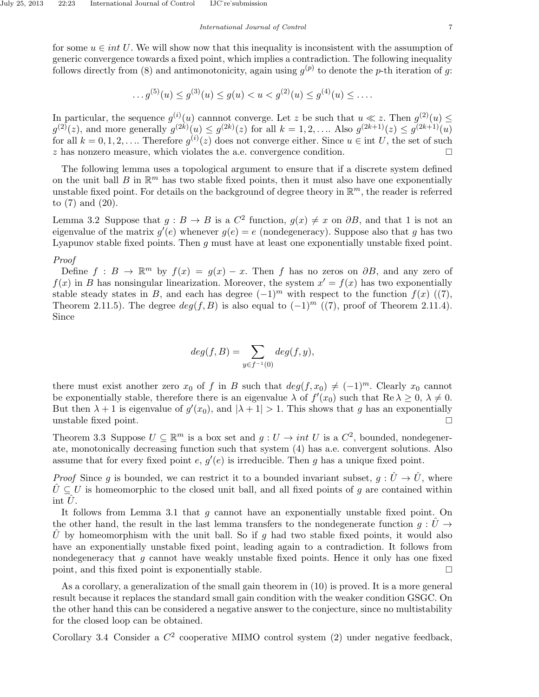for some  $u \in int U$ . We will show now that this inequality is inconsistent with the assumption of generic convergence towards a fixed point, which implies a contradiction. The following inequality follows directly from (8) and antimonotonicity, again using  $g^{(p)}$  to denote the p-th iteration of g:

$$
\dots g^{(5)}(u) \le g^{(3)}(u) \le g(u) < u < g^{(2)}(u) \le g^{(4)}(u) \le \dots
$$

In particular, the sequence  $g^{(i)}(u)$  cannnot converge. Let z be such that  $u \ll z$ . Then  $g^{(2)}(u) \leq$  $g^{(2)}(z)$ , and more generally  $g^{(2k)}(u) \leq g^{(2k)}(z)$  for all  $k = 1, 2, ...$  Also  $g^{(2k+1)}(z) \leq g^{(2k+1)}(u)$ for all  $k = 0, 1, 2, \ldots$  Therefore  $g^{(i)}(z)$  does not converge either. Since  $u \in \text{int } U$ , the set of such z has nonzero measure, which violates the a.e. convergence condition.

The following lemma uses a topological argument to ensure that if a discrete system defined on the unit ball  $B$  in  $\mathbb{R}^m$  has two stable fixed points, then it must also have one exponentially unstable fixed point. For details on the background of degree theory in  $\mathbb{R}^m$ , the reader is referred to (7) and (20).

Lemma 3.2 Suppose that  $g: B \to B$  is a  $C^2$  function,  $g(x) \neq x$  on  $\partial B$ , and that 1 is not an eigenvalue of the matrix  $g'(e)$  whenever  $g(e) = e$  (nondegeneracy). Suppose also that g has two Lyapunov stable fixed points. Then  $q$  must have at least one exponentially unstable fixed point.

## Proof

Define  $f : B \to \mathbb{R}^m$  by  $f(x) = g(x) - x$ . Then f has no zeros on  $\partial B$ , and any zero of  $f(x)$  in B has nonsingular linearization. Moreover, the system  $x' = f(x)$  has two exponentially stable steady states in B, and each has degree  $(-1)^m$  with respect to the function  $f(x)$  ((7), Theorem 2.11.5). The degree  $deg(f, B)$  is also equal to  $(-1)^m$  ((7), proof of Theorem 2.11.4). Since

$$
deg(f, B) = \sum_{y \in f^{-1}(0)} deg(f, y),
$$

there must exist another zero  $x_0$  of f in B such that  $deg(f, x_0) \neq (-1)^m$ . Clearly  $x_0$  cannot be exponentially stable, therefore there is an eigenvalue  $\lambda$  of  $f'(x_0)$  such that  $\text{Re }\lambda \geq 0, \lambda \neq 0$ . But then  $\lambda + 1$  is eigenvalue of  $g'(x_0)$ , and  $|\lambda + 1| > 1$ . This shows that g has an exponentially unstable fixed point.

Theorem 3.3 Suppose  $U \subseteq \mathbb{R}^m$  is a box set and  $g: U \to int U$  is a  $C^2$ , bounded, nondegenerate, monotonically decreasing function such that system (4) has a.e. convergent solutions. Also assume that for every fixed point  $e, g'(e)$  is irreducible. Then g has a unique fixed point.

*Proof* Since g is bounded, we can restrict it to a bounded invariant subset,  $g: \hat{U} \to \hat{U}$ , where  $\hat{U} \subseteq U$  is homeomorphic to the closed unit ball, and all fixed points of g are contained within int  $U$ .

It follows from Lemma 3.1 that  $g$  cannot have an exponentially unstable fixed point. On the other hand, the result in the last lemma transfers to the nondegenerate function  $q: \tilde{U} \rightarrow$ U by homeomorphism with the unit ball. So if g had two stable fixed points, it would also have an exponentially unstable fixed point, leading again to a contradiction. It follows from nondegeneracy that  $q$  cannot have weakly unstable fixed points. Hence it only has one fixed point, and this fixed point is exponentially stable.

As a corollary, a generalization of the small gain theorem in (10) is proved. It is a more general result because it replaces the standard small gain condition with the weaker condition GSGC. On the other hand this can be considered a negative answer to the conjecture, since no multistability for the closed loop can be obtained.

Corollary 3.4 Consider a  $C^2$  cooperative MIMO control system (2) under negative feedback,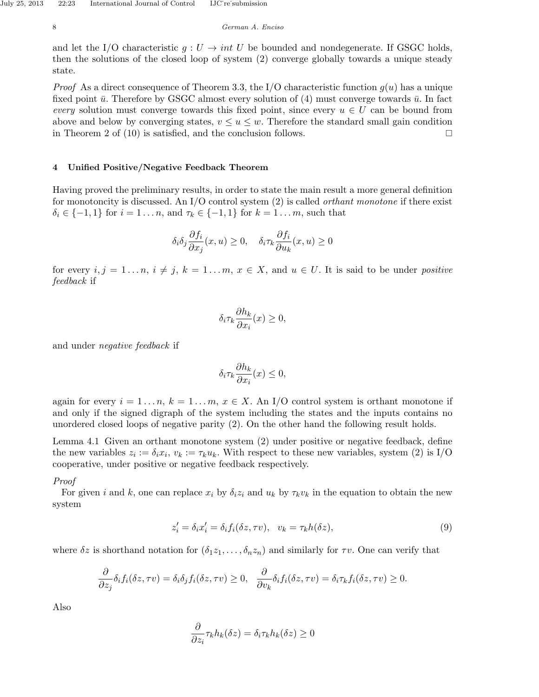and let the I/O characteristic  $g: U \to int U$  be bounded and nondegenerate. If GSGC holds, then the solutions of the closed loop of system (2) converge globally towards a unique steady state.

*Proof* As a direct consequence of Theorem 3.3, the I/O characteristic function  $g(u)$  has a unique fixed point  $\bar{u}$ . Therefore by GSGC almost every solution of (4) must converge towards  $\bar{u}$ . In fact every solution must converge towards this fixed point, since every  $u \in U$  can be bound from above and below by converging states,  $v \leq u \leq w$ . Therefore the standard small gain condition in Theorem 2 of (10) is satisfied, and the conclusion follows.  $\Box$ 

# 4 Unified Positive/Negative Feedback Theorem

Having proved the preliminary results, in order to state the main result a more general definition for monotoncity is discussed. An  $I/O$  control system (2) is called *orthant monotone* if there exist  $\delta_i \in \{-1, 1\}$  for  $i = 1 \ldots n$ , and  $\tau_k \in \{-1, 1\}$  for  $k = 1 \ldots m$ , such that

$$
\delta_i \delta_j \frac{\partial f_i}{\partial x_j}(x, u) \ge 0, \quad \delta_i \tau_k \frac{\partial f_i}{\partial u_k}(x, u) \ge 0
$$

for every  $i, j = 1 \ldots n$ ,  $i \neq j$ ,  $k = 1 \ldots m$ ,  $x \in X$ , and  $u \in U$ . It is said to be under *positive* feedback if

$$
\delta_i \tau_k \frac{\partial h_k}{\partial x_i}(x) \ge 0,
$$

and under negative feedback if

$$
\delta_i \tau_k \frac{\partial h_k}{\partial x_i}(x) \le 0,
$$

again for every  $i = 1 \dots n$ ,  $k = 1 \dots m$ ,  $x \in X$ . An I/O control system is orthant monotone if and only if the signed digraph of the system including the states and the inputs contains no unordered closed loops of negative parity (2). On the other hand the following result holds.

Lemma 4.1 Given an orthant monotone system (2) under positive or negative feedback, define the new variables  $z_i := \delta_i x_i, v_k := \tau_k u_k$ . With respect to these new variables, system (2) is I/O cooperative, under positive or negative feedback respectively.

### Proof

For given i and k, one can replace  $x_i$  by  $\delta_i z_i$  and  $u_k$  by  $\tau_k v_k$  in the equation to obtain the new system

$$
z_i' = \delta_i x_i' = \delta_i f_i(\delta z, \tau v), \quad v_k = \tau_k h(\delta z), \tag{9}
$$

where  $\delta z$  is shorthand notation for  $(\delta_1 z_1, \ldots, \delta_n z_n)$  and similarly for  $\tau v$ . One can verify that

$$
\frac{\partial}{\partial z_j}\delta_i f_i(\delta z, \tau v) = \delta_i \delta_j f_i(\delta z, \tau v) \ge 0, \quad \frac{\partial}{\partial v_k}\delta_i f_i(\delta z, \tau v) = \delta_i \tau_k f_i(\delta z, \tau v) \ge 0.
$$

Also

$$
\frac{\partial}{\partial z_i} \tau_k h_k(\delta z) = \delta_i \tau_k h_k(\delta z) \ge 0
$$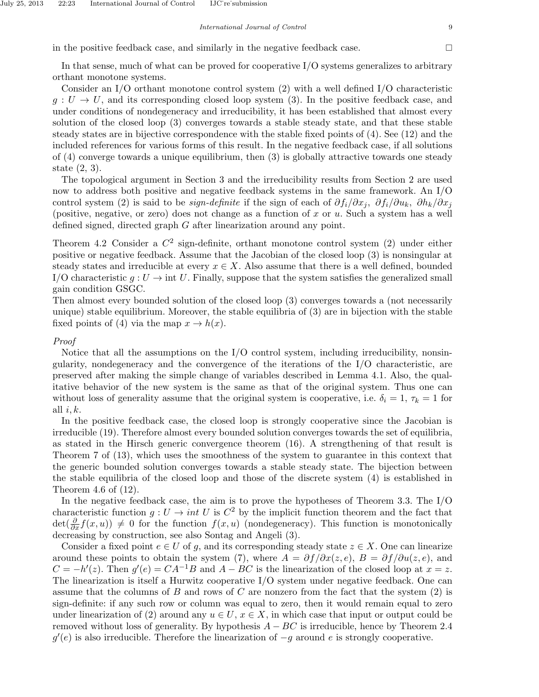in the positive feedback case, and similarly in the negative feedback case.  $\Box$ 

In that sense, much of what can be proved for cooperative I/O systems generalizes to arbitrary orthant monotone systems.

Consider an I/O orthant monotone control system (2) with a well defined I/O characteristic  $g: U \to U$ , and its corresponding closed loop system (3). In the positive feedback case, and under conditions of nondegeneracy and irreducibility, it has been established that almost every solution of the closed loop (3) converges towards a stable steady state, and that these stable steady states are in bijective correspondence with the stable fixed points of (4). See (12) and the included references for various forms of this result. In the negative feedback case, if all solutions of (4) converge towards a unique equilibrium, then (3) is globally attractive towards one steady state (2, 3).

The topological argument in Section 3 and the irreducibility results from Section 2 are used now to address both positive and negative feedback systems in the same framework. An I/O control system (2) is said to be *sign-definite* if the sign of each of  $\partial f_i/\partial x_j$ ,  $\partial f_i/\partial u_k$ ,  $\partial h_k/\partial x_j$ (positive, negative, or zero) does not change as a function of x or  $u$ . Such a system has a well defined signed, directed graph G after linearization around any point.

Theorem 4.2 Consider a  $C^2$  sign-definite, orthant monotone control system (2) under either positive or negative feedback. Assume that the Jacobian of the closed loop (3) is nonsingular at steady states and irreducible at every  $x \in X$ . Also assume that there is a well defined, bounded I/O characteristic  $q: U \to \text{int } U$ . Finally, suppose that the system satisfies the generalized small gain condition GSGC.

Then almost every bounded solution of the closed loop (3) converges towards a (not necessarily unique) stable equilibrium. Moreover, the stable equilibria of (3) are in bijection with the stable fixed points of (4) via the map  $x \to h(x)$ .

### Proof

Notice that all the assumptions on the  $I/O$  control system, including irreducibility, nonsingularity, nondegeneracy and the convergence of the iterations of the I/O characteristic, are preserved after making the simple change of variables described in Lemma 4.1. Also, the qualitative behavior of the new system is the same as that of the original system. Thus one can without loss of generality assume that the original system is cooperative, i.e.  $\delta_i = 1, \tau_k = 1$  for all  $i, k$ .

In the positive feedback case, the closed loop is strongly cooperative since the Jacobian is irreducible (19). Therefore almost every bounded solution converges towards the set of equilibria, as stated in the Hirsch generic convergence theorem (16). A strengthening of that result is Theorem 7 of (13), which uses the smoothness of the system to guarantee in this context that the generic bounded solution converges towards a stable steady state. The bijection between the stable equilibria of the closed loop and those of the discrete system (4) is established in Theorem 4.6 of (12).

In the negative feedback case, the aim is to prove the hypotheses of Theorem 3.3. The I/O characteristic function  $g: U \to int U$  is  $C^2$  by the implicit function theorem and the fact that  $\det(\frac{\partial}{\partial x}f(x,u)) \neq 0$  for the function  $f(x,u)$  (nondegeneracy). This function is monotonically decreasing by construction, see also Sontag and Angeli (3).

Consider a fixed point  $e \in U$  of g, and its corresponding steady state  $z \in X$ . One can linearize around these points to obtain the system (7), where  $A = \partial f / \partial x(z, e)$ ,  $B = \partial f / \partial u(z, e)$ , and  $C = -h'(z)$ . Then  $g'(e) = CA^{-1}B$  and  $A - BC$  is the linearization of the closed loop at  $x = z$ . The linearization is itself a Hurwitz cooperative I/O system under negative feedback. One can assume that the columns of B and rows of C are nonzero from the fact that the system  $(2)$  is sign-definite: if any such row or column was equal to zero, then it would remain equal to zero under linearization of (2) around any  $u \in U$ ,  $x \in X$ , in which case that input or output could be removed without loss of generality. By hypothesis  $A - BC$  is irreducible, hence by Theorem 2.4  $g'(e)$  is also irreducible. Therefore the linearization of  $-g$  around e is strongly cooperative.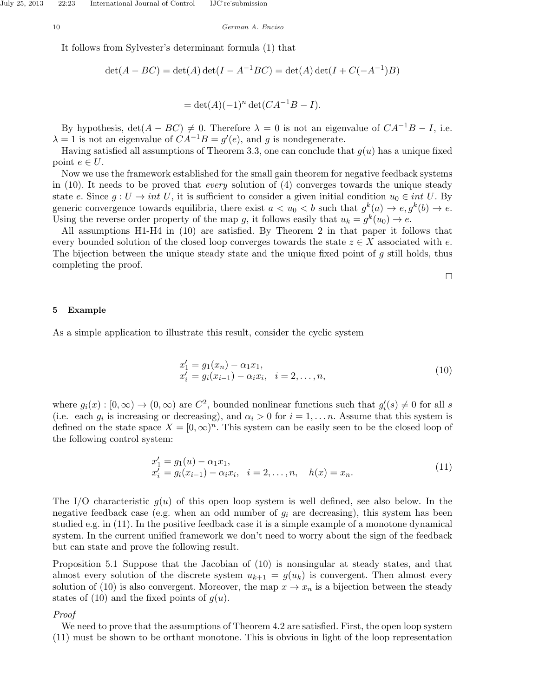It follows from Sylvester's determinant formula (1) that

$$
\det(A - BC) = \det(A)\det(I - A^{-1}BC) = \det(A)\det(I + C(-A^{-1})B)
$$

$$
= \det(A)(-1)^n \det(CA^{-1}B - I).
$$

By hypothesis,  $det(A - BC) \neq 0$ . Therefore  $\lambda = 0$  is not an eigenvalue of  $CA^{-1}B - I$ , i.e.  $\lambda = 1$  is not an eigenvalue of  $CA^{-1}B = g'(e)$ , and g is nondegenerate.

Having satisfied all assumptions of Theorem 3.3, one can conclude that  $q(u)$  has a unique fixed point  $e \in U$ .

Now we use the framework established for the small gain theorem for negative feedback systems in  $(10)$ . It needs to be proved that *every* solution of  $(4)$  converges towards the unique steady state e. Since  $g: U \to int U$ , it is sufficient to consider a given initial condition  $u_0 \in int U$ . By generic convergence towards equilibria, there exist  $a < u_0 < b$  such that  $g^k(a) \to e, g^k(b) \to e$ . Using the reverse order property of the map g, it follows easily that  $u_k = g^k(u_0) \to e$ .

All assumptions H1-H4 in (10) are satisfied. By Theorem 2 in that paper it follows that every bounded solution of the closed loop converges towards the state  $z \in X$  associated with e. The bijection between the unique steady state and the unique fixed point of  $g$  still holds, thus completing the proof.

 $\Box$ 

#### 5 Example

As a simple application to illustrate this result, consider the cyclic system

$$
x'_{1} = g_{1}(x_{n}) - \alpha_{1}x_{1},
$$
  
\n
$$
x'_{i} = g_{i}(x_{i-1}) - \alpha_{i}x_{i}, \quad i = 2, ..., n,
$$
\n(10)

where  $g_i(x) : [0, \infty) \to (0, \infty)$  are  $C^2$ , bounded nonlinear functions such that  $g'_i(s) \neq 0$  for all s (i.e. each  $g_i$  is increasing or decreasing), and  $\alpha_i > 0$  for  $i = 1, \ldots n$ . Assume that this system is defined on the state space  $X = [0, \infty)^n$ . This system can be easily seen to be the closed loop of the following control system:

$$
x'_{1} = g_{1}(u) - \alpha_{1}x_{1},
$$
  
\n
$$
x'_{i} = g_{i}(x_{i-1}) - \alpha_{i}x_{i}, \quad i = 2,...,n, \quad h(x) = x_{n}.
$$
\n(11)

The I/O characteristic  $g(u)$  of this open loop system is well defined, see also below. In the negative feedback case (e.g. when an odd number of  $g_i$  are decreasing), this system has been studied e.g. in (11). In the positive feedback case it is a simple example of a monotone dynamical system. In the current unified framework we don't need to worry about the sign of the feedback but can state and prove the following result.

Proposition 5.1 Suppose that the Jacobian of (10) is nonsingular at steady states, and that almost every solution of the discrete system  $u_{k+1} = g(u_k)$  is convergent. Then almost every solution of (10) is also convergent. Moreover, the map  $x \to x_n$  is a bijection between the steady states of (10) and the fixed points of  $g(u)$ .

### Proof

We need to prove that the assumptions of Theorem 4.2 are satisfied. First, the open loop system (11) must be shown to be orthant monotone. This is obvious in light of the loop representation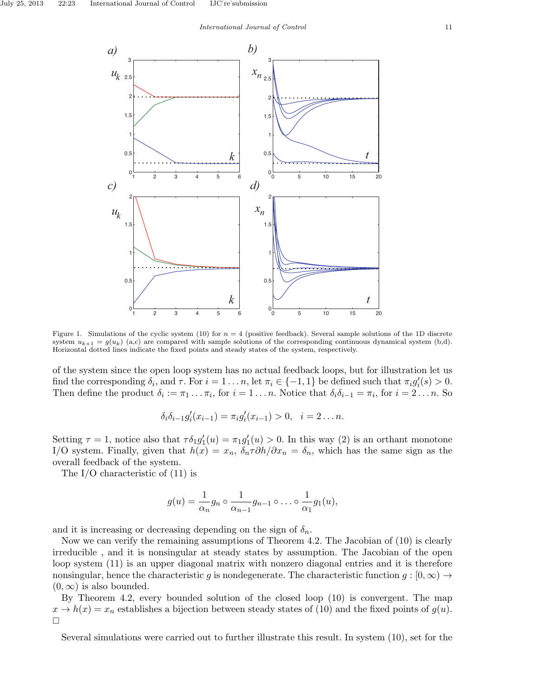

Figure 1. Simulations of the cyclic system (10) for  $n = 4$  (positive feedback). Several sample solutions of the 1D discrete system  $u_{k+1} = g(u_k)$  (a,c) are compared with sample solutions of the corresponding continuous dynamical system (b,d). Horizontal dotted lines indicate the fixed points and steady states of the system, respectively.

of the system since the open loop system has no actual feedback loops, but for illustration let us find the corresponding  $\delta_i$ , and  $\tau$ . For  $i = 1 \ldots n$ , let  $\pi_i \in \{-1, 1\}$  be defined such that  $\pi_i g_i'(s) > 0$ . Then define the product  $\delta_i := \pi_1 \dots \pi_i$ , for  $i = 1 \dots n$ . Notice that  $\delta_i \delta_{i-1} = \pi_i$ , for  $i = 2 \dots n$ . So

$$
\delta_i \delta_{i-1} g'_i(x_{i-1}) = \pi_i g'_i(x_{i-1}) > 0, \quad i = 2 \dots n.
$$

Setting  $\tau = 1$ , notice also that  $\tau \delta_1 g_1'(u) = \pi_1 g_1'(u) > 0$ . In this way (2) is an orthant monotone I/O system. Finally, given that  $h(x) = x_n$ ,  $\delta_n \tau \partial h / \partial x_n = \delta_n$ , which has the same sign as the overall feedback of the system.

The I/O characteristic of (11) is

$$
g(u) = \frac{1}{\alpha_n} g_n \circ \frac{1}{\alpha_{n-1}} g_{n-1} \circ \dots \circ \frac{1}{\alpha_1} g_1(u),
$$

and it is increasing or decreasing depending on the sign of  $\delta_n$ .

Now we can verify the remaining assumptions of Theorem 4.2. The Jacobian of (10) is clearly irreducible , and it is nonsingular at steady states by assumption. The Jacobian of the open loop system (11) is an upper diagonal matrix with nonzero diagonal entries and it is therefore nonsingular, hence the characteristic g is nondegenerate. The characteristic function  $g:[0,\infty) \to$  $(0, \infty)$  is also bounded.

By Theorem 4.2, every bounded solution of the closed loop (10) is convergent. The map  $x \to h(x) = x_n$  establishes a bijection between steady states of (10) and the fixed points of  $g(u)$ .  $\Box$ 

Several simulations were carried out to further illustrate this result. In system (10), set for the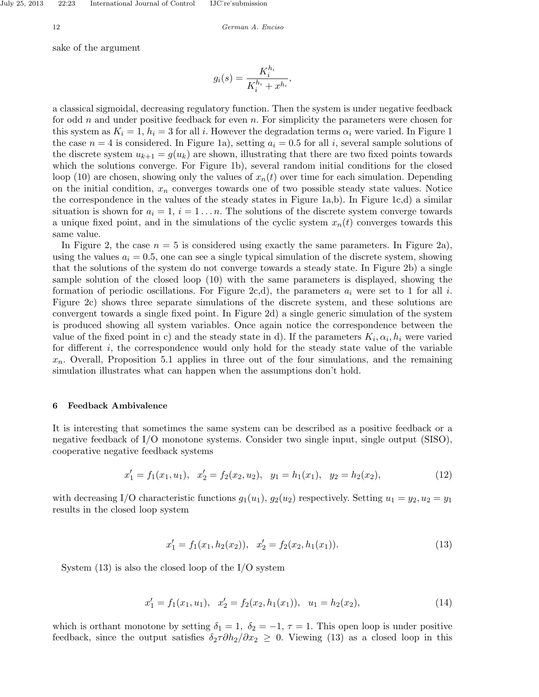sake of the argument

$$
g_i(s) = \frac{K_i^{h_i}}{K_i^{h_i} + x^{h_i}},
$$

a classical sigmoidal, decreasing regulatory function. Then the system is under negative feedback for odd  $n$  and under positive feedback for even  $n$ . For simplicity the parameters were chosen for this system as  $K_i = 1$ ,  $h_i = 3$  for all i. However the degradation terms  $\alpha_i$  were varied. In Figure 1 the case  $n = 4$  is considered. In Figure 1a), setting  $a_i = 0.5$  for all i, several sample solutions of the discrete system  $u_{k+1} = g(u_k)$  are shown, illustrating that there are two fixed points towards which the solutions converge. For Figure 1b), several random initial conditions for the closed loop (10) are chosen, showing only the values of  $x_n(t)$  over time for each simulation. Depending on the initial condition,  $x_n$  converges towards one of two possible steady state values. Notice the correspondence in the values of the steady states in Figure 1a,b). In Figure 1c,d) a similar situation is shown for  $a_i = 1, i = 1...n$ . The solutions of the discrete system converge towards a unique fixed point, and in the simulations of the cyclic system  $x_n(t)$  converges towards this same value.

In Figure 2, the case  $n = 5$  is considered using exactly the same parameters. In Figure 2a), using the values  $a_i = 0.5$ , one can see a single typical simulation of the discrete system, showing that the solutions of the system do not converge towards a steady state. In Figure 2b) a single sample solution of the closed loop (10) with the same parameters is displayed, showing the formation of periodic oscillations. For Figure 2c,d), the parameters  $a_i$  were set to 1 for all i. Figure 2c) shows three separate simulations of the discrete system, and these solutions are convergent towards a single fixed point. In Figure 2d) a single generic simulation of the system is produced showing all system variables. Once again notice the correspondence between the value of the fixed point in c) and the steady state in d). If the parameters  $K_i, \alpha_i, h_i$  were varied for different  $i$ , the correspondence would only hold for the steady state value of the variable  $x_n$ . Overall, Proposition 5.1 applies in three out of the four simulations, and the remaining simulation illustrates what can happen when the assumptions don't hold.

### 6 Feedback Ambivalence

It is interesting that sometimes the same system can be described as a positive feedback or a negative feedback of I/O monotone systems. Consider two single input, single output (SISO), cooperative negative feedback systems

$$
x_1' = f_1(x_1, u_1), \quad x_2' = f_2(x_2, u_2), \quad y_1 = h_1(x_1), \quad y_2 = h_2(x_2), \tag{12}
$$

with decreasing I/O characteristic functions  $g_1(u_1)$ ,  $g_2(u_2)$  respectively. Setting  $u_1 = y_2, u_2 = y_1$ results in the closed loop system

$$
x_1' = f_1(x_1, h_2(x_2)), \quad x_2' = f_2(x_2, h_1(x_1)).
$$
\n(13)

System  $(13)$  is also the closed loop of the I/O system

$$
x_1' = f_1(x_1, u_1), \quad x_2' = f_2(x_2, h_1(x_1)), \quad u_1 = h_2(x_2), \tag{14}
$$

which is orthant monotone by setting  $\delta_1 = 1$ ,  $\delta_2 = -1$ ,  $\tau = 1$ . This open loop is under positive feedback, since the output satisfies  $\delta_2 \tau \partial h_2 / \partial x_2 \geq 0$ . Viewing (13) as a closed loop in this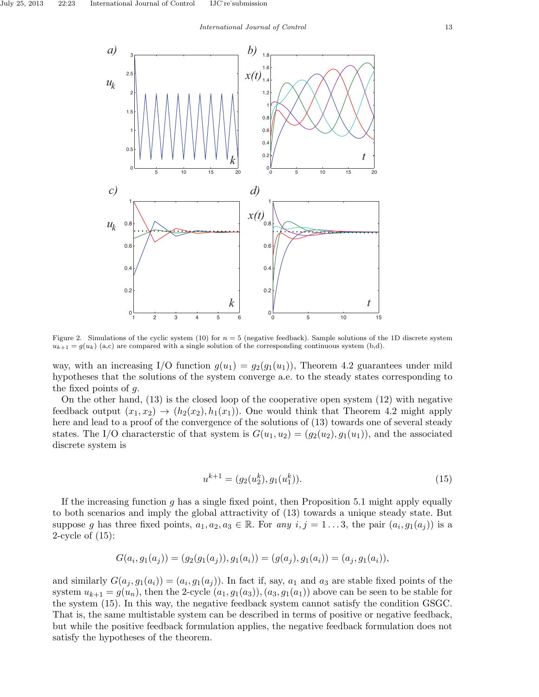

Figure 2. Simulations of the cyclic system (10) for  $n = 5$  (negative feedback). Sample solutions of the 1D discrete system  $u_{k+1} = g(u_k)$  (a,c) are compared with a single solution of the corresponding continuous system (b,d).

way, with an increasing I/O function  $g(u_1) = g_2(g_1(u_1))$ , Theorem 4.2 guarantees under mild hypotheses that the solutions of the system converge a.e. to the steady states corresponding to the fixed points of g.

On the other hand, (13) is the closed loop of the cooperative open system (12) with negative feedback output  $(x_1, x_2) \rightarrow (h_2(x_2), h_1(x_1))$ . One would think that Theorem 4.2 might apply here and lead to a proof of the convergence of the solutions of  $(13)$  towards one of several steady states. The I/O characterstic of that system is  $G(u_1, u_2) = (g_2(u_2), g_1(u_1))$ , and the associated discrete system is

$$
u^{k+1} = (g_2(u_2^k), g_1(u_1^k)).
$$
\n(15)

If the increasing function g has a single fixed point, then Proposition 5.1 might apply equally to both scenarios and imply the global attractivity of (13) towards a unique steady state. But suppose g has three fixed points,  $a_1, a_2, a_3 \in \mathbb{R}$ . For any  $i, j = 1...3$ , the pair  $(a_i, g_1(a_j))$  is a 2-cycle of (15):

$$
G(a_i,g_1(a_j)) = (g_2(g_1(a_j)),g_1(a_i)) = (g(a_j),g_1(a_i)) = (a_j,g_1(a_i)),
$$

and similarly  $G(a_j, g_1(a_i)) = (a_i, g_1(a_j))$ . In fact if, say,  $a_1$  and  $a_3$  are stable fixed points of the system  $u_{k+1} = g(u_n)$ , then the 2-cycle  $(a_1, g_1(a_3))$ ,  $(a_3, g_1(a_1))$  above can be seen to be stable for the system (15). In this way, the negative feedback system cannot satisfy the condition GSGC. That is, the same multistable system can be described in terms of positive or negative feedback, but while the positive feedback formulation applies, the negative feedback formulation does not satisfy the hypotheses of the theorem.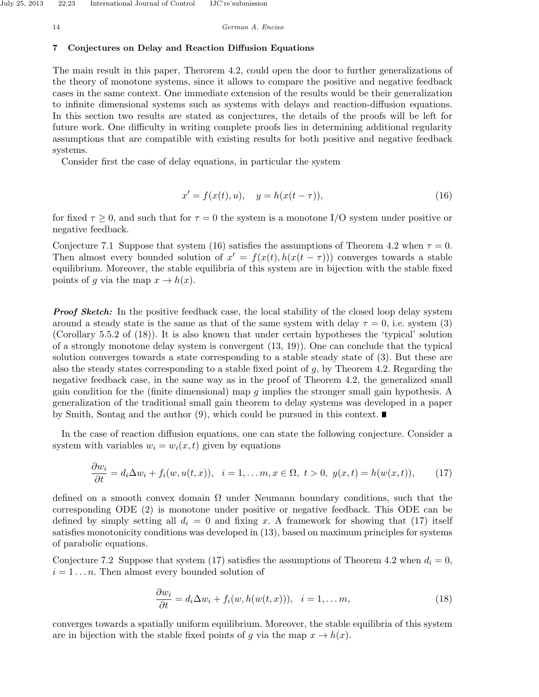## 7 Conjectures on Delay and Reaction Diffusion Equations

The main result in this paper, Therorem 4.2, could open the door to further generalizations of the theory of monotone systems, since it allows to compare the positive and negative feedback cases in the same context. One immediate extension of the results would be their generalization to infinite dimensional systems such as systems with delays and reaction-diffusion equations. In this section two results are stated as conjectures, the details of the proofs will be left for future work. One difficulty in writing complete proofs lies in determining additional regularity assumptions that are compatible with existing results for both positive and negative feedback systems.

Consider first the case of delay equations, in particular the system

$$
x' = f(x(t), u), \quad y = h(x(t - \tau)), \tag{16}
$$

for fixed  $\tau \geq 0$ , and such that for  $\tau = 0$  the system is a monotone I/O system under positive or negative feedback.

Conjecture 7.1 Suppose that system (16) satisfies the assumptions of Theorem 4.2 when  $\tau = 0$ . Then almost every bounded solution of  $x' = f(x(t), h(x(t - \tau)))$  converges towards a stable equilibrium. Moreover, the stable equilibria of this system are in bijection with the stable fixed points of g via the map  $x \to h(x)$ .

**Proof Sketch:** In the positive feedback case, the local stability of the closed loop delay system around a steady state is the same as that of the same system with delay  $\tau = 0$ , i.e. system (3) (Corollary 5.5.2 of (18)). It is also known that under certain hypotheses the 'typical' solution of a strongly monotone delay system is convergent (13, 19)). One can conclude that the typical solution converges towards a state corresponding to a stable steady state of (3). But these are also the steady states corresponding to a stable fixed point of  $q$ , by Theorem 4.2. Regarding the negative feedback case, in the same way as in the proof of Theorem 4.2, the generalized small gain condition for the (finite dimensional) map  $g$  implies the stronger small gain hypothesis. A generalization of the traditional small gain theorem to delay systems was developed in a paper by Smith, Sontag and the author (9), which could be pursued in this context.  $\blacksquare$ 

In the case of reaction diffusion equations, one can state the following conjecture. Consider a system with variables  $w_i = w_i(x, t)$  given by equations

$$
\frac{\partial w_i}{\partial t} = d_i \Delta w_i + f_i(w, u(t, x)), \quad i = 1, \dots, m, x \in \Omega, \ t > 0, \ y(x, t) = h(w(x, t)), \tag{17}
$$

defined on a smooth convex domain  $\Omega$  under Neumann boundary conditions, such that the corresponding ODE (2) is monotone under positive or negative feedback. This ODE can be defined by simply setting all  $d_i = 0$  and fixing x. A framework for showing that (17) itself satisfies monotonicity conditions was developed in (13), based on maximum principles for systems of parabolic equations.

Conjecture 7.2 Suppose that system (17) satisfies the assumptions of Theorem 4.2 when  $d_i = 0$ ,  $i = 1 \dots n$ . Then almost every bounded solution of

$$
\frac{\partial w_i}{\partial t} = d_i \Delta w_i + f_i(w, h(w(t, x))), \quad i = 1, \dots m,
$$
\n(18)

converges towards a spatially uniform equilibrium. Moreover, the stable equilibria of this system are in bijection with the stable fixed points of g via the map  $x \to h(x)$ .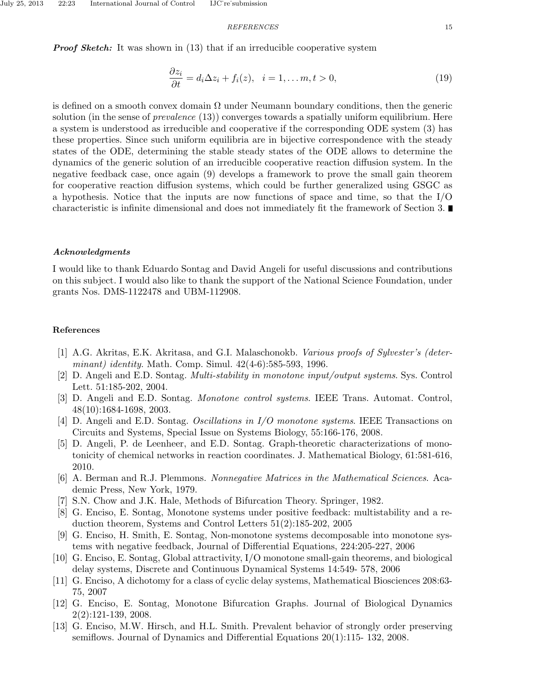### REFERENCES 15

**Proof Sketch:** It was shown in (13) that if an irreducible cooperative system

$$
\frac{\partial z_i}{\partial t} = d_i \Delta z_i + f_i(z), \quad i = 1, \dots m, t > 0,
$$
\n(19)

is defined on a smooth convex domain  $\Omega$  under Neumann boundary conditions, then the generic solution (in the sense of *prevalence*  $(13)$ ) converges towards a spatially uniform equilibrium. Here a system is understood as irreducible and cooperative if the corresponding ODE system (3) has these properties. Since such uniform equilibria are in bijective correspondence with the steady states of the ODE, determining the stable steady states of the ODE allows to determine the dynamics of the generic solution of an irreducible cooperative reaction diffusion system. In the negative feedback case, once again (9) develops a framework to prove the small gain theorem for cooperative reaction diffusion systems, which could be further generalized using GSGC as a hypothesis. Notice that the inputs are now functions of space and time, so that the I/O characteristic is infinite dimensional and does not immediately fit the framework of Section 3.

#### Acknowledgments

I would like to thank Eduardo Sontag and David Angeli for useful discussions and contributions on this subject. I would also like to thank the support of the National Science Foundation, under grants Nos. DMS-1122478 and UBM-112908.

## References

- [1] A.G. Akritas, E.K. Akritasa, and G.I. Malaschonokb. Various proofs of Sylvester's (determinant) identity. Math. Comp. Simul. 42(4-6):585-593, 1996.
- [2] D. Angeli and E.D. Sontag. Multi-stability in monotone input/output systems. Sys. Control Lett. 51:185-202, 2004.
- [3] D. Angeli and E.D. Sontag. Monotone control systems. IEEE Trans. Automat. Control, 48(10):1684-1698, 2003.
- [4] D. Angeli and E.D. Sontag. Oscillations in I/O monotone systems. IEEE Transactions on Circuits and Systems, Special Issue on Systems Biology, 55:166-176, 2008.
- [5] D. Angeli, P. de Leenheer, and E.D. Sontag. Graph-theoretic characterizations of monotonicity of chemical networks in reaction coordinates. J. Mathematical Biology, 61:581-616, 2010.
- [6] A. Berman and R.J. Plemmons. Nonnegative Matrices in the Mathematical Sciences. Academic Press, New York, 1979.
- [7] S.N. Chow and J.K. Hale, Methods of Bifurcation Theory. Springer, 1982.
- [8] G. Enciso, E. Sontag, Monotone systems under positive feedback: multistability and a reduction theorem, Systems and Control Letters 51(2):185-202, 2005
- [9] G. Enciso, H. Smith, E. Sontag, Non-monotone systems decomposable into monotone systems with negative feedback, Journal of Differential Equations, 224:205-227, 2006
- [10] G. Enciso, E. Sontag, Global attractivity, I/O monotone small-gain theorems, and biological delay systems, Discrete and Continuous Dynamical Systems 14:549- 578, 2006
- [11] G. Enciso, A dichotomy for a class of cyclic delay systems, Mathematical Biosciences 208:63- 75, 2007
- [12] G. Enciso, E. Sontag, Monotone Bifurcation Graphs. Journal of Biological Dynamics 2(2):121-139, 2008.
- [13] G. Enciso, M.W. Hirsch, and H.L. Smith. Prevalent behavior of strongly order preserving semiflows. Journal of Dynamics and Differential Equations 20(1):115- 132, 2008.